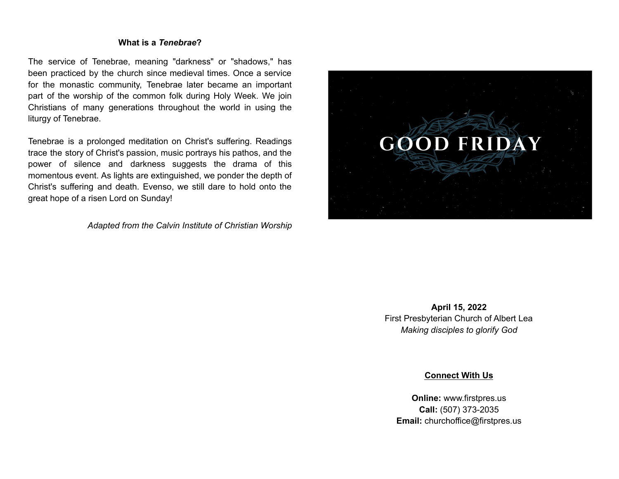## **What is a** *Tenebrae***?**

The service of Tenebrae, meaning "darkness" or "shadows," has been practiced by the church since medieval times. Once a service for the monastic community, Tenebrae later became an important part of the worship of the common folk during Holy Week. We join Christians of many generations throughout the world in using the liturgy of Tenebrae.

Tenebrae is a prolonged meditation on Christ's suffering. Readings trace the story of Christ's passion, music portrays his pathos, and the power of silence and darkness suggests the drama of this momentous event. As lights are extinguished, we ponder the depth of Christ's suffering and death. Evenso, we still dare to hold onto the great hope of a risen Lord on Sunday!

*Adapted from the Calvin Institute of Christian Worship*



**April 15, 2022** First Presbyterian Church of Albert Lea *Making disciples to glorify God*

**Connect With Us**

**Online:** [www.firstpres.us](http://www.firstpres.us) **Call:** (507) 373-2035 **Email:** [churchoffice@firstpres.us](mailto:churchoffice@firstpres.us)